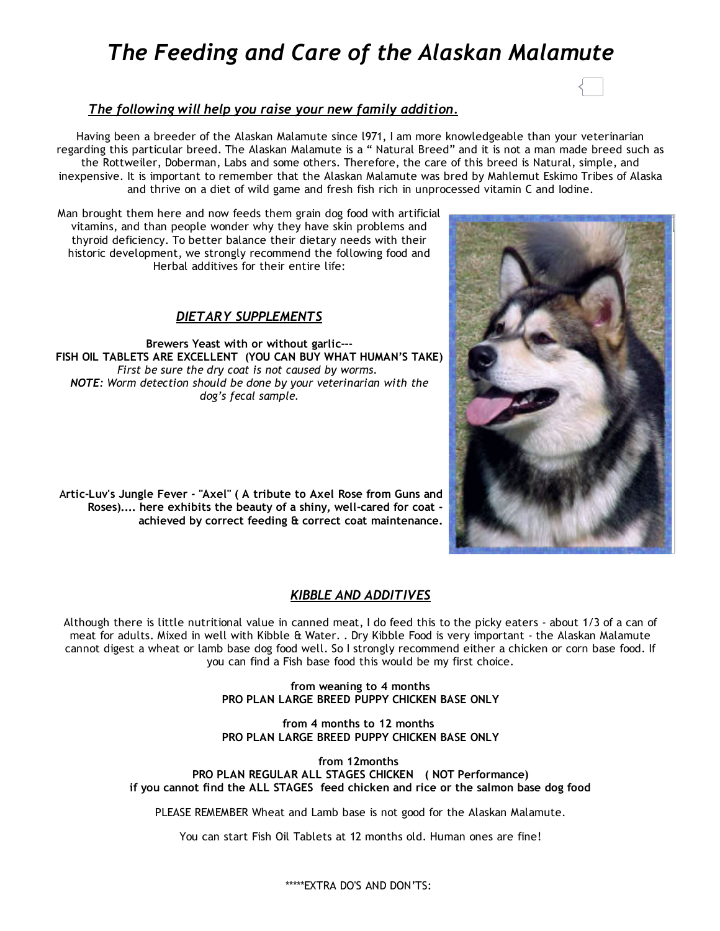# *The Feeding and Care of the Alaskan Malamute*



## *The following will help you raise your new family addition.*

Having been a breeder of the Alaskan Malamute since l971, I am more knowledgeable than your veterinarian regarding this particular breed. The Alaskan Malamute is a " Natural Breed" and it is not a man made breed such as the Rottweiler, Doberman, Labs and some others. Therefore, the care of this breed is Natural, simple, and inexpensive. It is important to remember that the Alaskan Malamute was bred by Mahlemut Eskimo Tribes of Alaska and thrive on a diet of wild game and fresh fish rich in unprocessed vitamin C and Iodine.

Man brought them here and now feeds them grain dog food with artificial vitamins, and than people wonder why they have skin problems and thyroid deficiency. To better balance their dietary needs with their historic development, we strongly recommend the following food and Herbal additives for their entire life:

#### *DIETARY SUPPLEMENTS*

Brewers Yeast with or without garlic‐‐‐ FISH OIL TABLETS ARE EXCELLENT (YOU CAN BUY WHAT HUMAN'S TAKE) *First be sure the dry coat is not caused by worms. NOTE: Worm detection should be done by your veterinarian with the dog's fecal sample.*

Artic‐Luv's Jungle Fever ‐ "Axel" ( A tribute to Axel Rose from Guns and Roses).... here exhibits the beauty of a shiny, well‐cared for coat ‐ achieved by correct feeding & correct coat maintenance.

#### *KIBBLE AND ADDITIVES*

Although there is little nutritional value in canned meat, I do feed this to the picky eaters ‐ about 1/3 of a can of meat for adults. Mixed in well with Kibble & Water. . Dry Kibble Food is very important - the Alaskan Malamute cannot digest a wheat or lamb base dog food well. So I strongly recommend either a chicken or corn base food. If you can find a Fish base food this would be my first choice.

> from weaning to 4 months PRO PLAN LARGE BREED PUPPY CHICKEN BASE ONLY

> from 4 months to 12 months PRO PLAN LARGE BREED PUPPY CHICKEN BASE ONLY

from 12months PRO PLAN REGULAR ALL STAGES CHICKEN ( NOT Performance) if you cannot find the ALL STAGES feed chicken and rice or the salmon base dog food

PLEASE REMEMBER Wheat and Lamb base is not good for the Alaskan Malamute.

You can start Fish Oil Tablets at 12 months old. Human ones are fine!



\*\*\*\*\*EXTRA DO'S AND DON'TS: